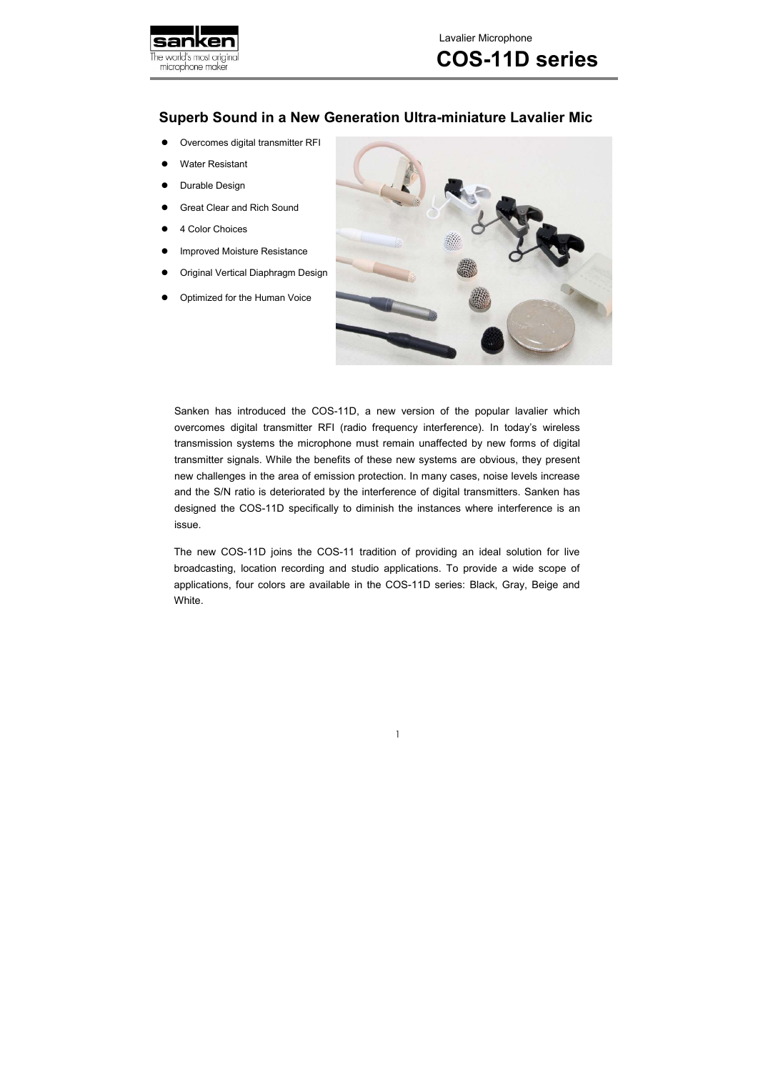

### **Superb Sound in a New Generation Ultra-miniature Lavalier Mic**

Sanken has introduced the COS-11D, a new version of the popular lavalier which overcomes digital transmitter RFI (radio frequency interference). In today's wireless transmission systems the microphone must remain unaffected by new forms of digital transmitter signals. While the benefits of these new systems are obvious, they present new challenges in the area of emission protection. In many cases, noise levels increase and the S/N ratio is deteriorated by the interference of digital transmitters. Sanken has designed the COS-11D specifically to diminish the instances where interference is an issue.

- Overcomes digital transmitter RFI
- Water Resistant
- Durable Design
- Great Clear and Rich Sound
- 4 Color Choices
- Improved Moisture Resistance
- Original Vertical Diaphragm Design
- Optimized for the Human Voice



The new COS-11D joins the COS-11 tradition of providing an ideal solution for live broadcasting, location recording and studio applications. To provide a wide scope of applications, four colors are available in the COS-11D series: Black, Gray, Beige and White.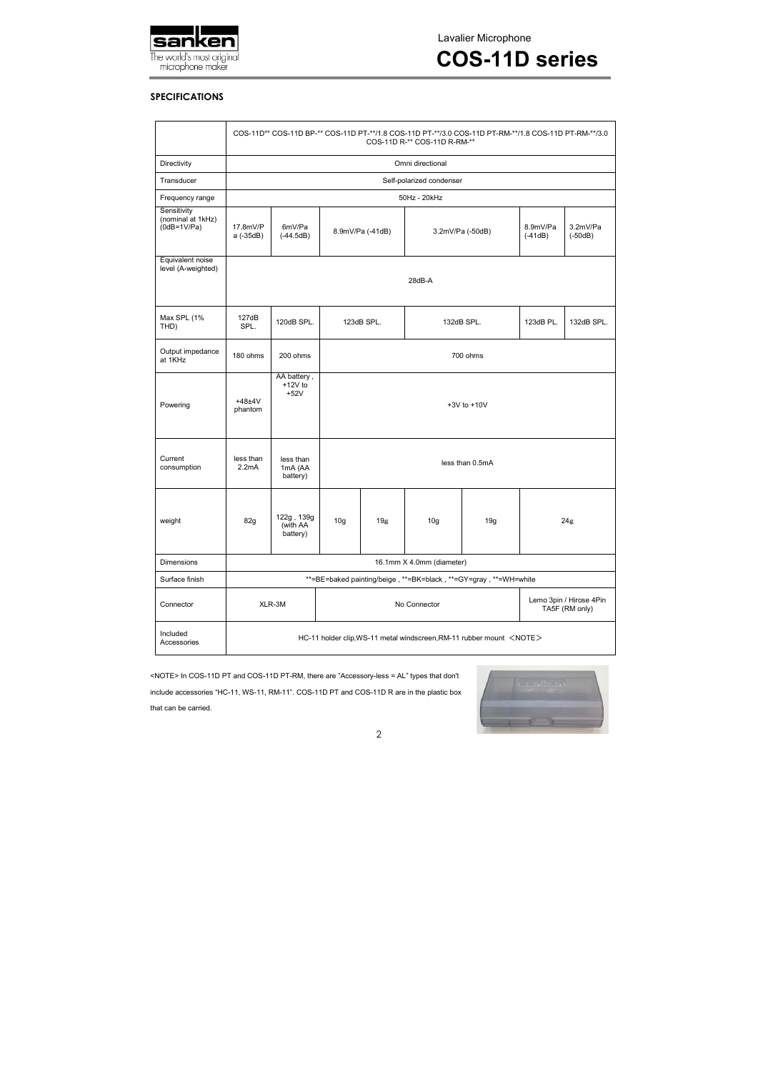

Lavalier Microphone

**COS-11D series** 

#### **SPECIFICATIONS**

<NOTE> In COS-11D PT and COS-11D PT-RM, there are "Accessory-less = AL" types that don't include accessories "HC-11, WS-11, RM-11". COS-11D PT and COS-11D R are in the plastic box that can be carried.



|                                                              | COS-11D** COS-11D BP-** COS-11D PT-**/1.8 COS-11D PT-**/3.0 COS-11D PT-RM-**/1.8 COS-11D PT-RM-**/3.0<br>COS-11D R-** COS-11D R-RM-** |                                    |                 |                                      |                 |                       |                                           |            |
|--------------------------------------------------------------|---------------------------------------------------------------------------------------------------------------------------------------|------------------------------------|-----------------|--------------------------------------|-----------------|-----------------------|-------------------------------------------|------------|
| Directivity                                                  | Omni directional                                                                                                                      |                                    |                 |                                      |                 |                       |                                           |            |
| Transducer                                                   | Self-polarized condenser                                                                                                              |                                    |                 |                                      |                 |                       |                                           |            |
| Frequency range                                              | 50Hz - 20kHz                                                                                                                          |                                    |                 |                                      |                 |                       |                                           |            |
| Sensitivity<br>(nominal at 1kHz)<br>$\overline{(0dB=1V/Pa)}$ | 17.8mV/P<br>a (-35dB)                                                                                                                 | 6mV/Pa<br>$(-44.5dB)$              |                 | 8.9mV/Pa (-41dB)<br>3.2mV/Pa (-50dB) |                 | 8.9mV/Pa<br>$(-41dB)$ | 3.2mV/Pa<br>$(-50dB)$                     |            |
| Equivalent noise<br>level (A-weighted)                       | 28dB-A                                                                                                                                |                                    |                 |                                      |                 |                       |                                           |            |
| Max SPL (1%<br>THD)                                          | 127dB<br>SPL.                                                                                                                         | 120dB SPL.                         | 123dB SPL.      |                                      | 132dB SPL.      |                       | 123dB PL.                                 | 132dB SPL. |
| Output impedance<br>at 1KHz                                  | 180 ohms                                                                                                                              | 200 ohms                           | 700 ohms        |                                      |                 |                       |                                           |            |
| Powering                                                     | $+48+4V$<br>phantom                                                                                                                   | AA battery,<br>$+12V$ to<br>$+52V$ | $+3V$ to $+10V$ |                                      |                 |                       |                                           |            |
| Current<br>consumption                                       | less than<br>2.2mA                                                                                                                    | less than<br>1mA (AA<br>battery)   | less than 0.5mA |                                      |                 |                       |                                           |            |
| weight                                                       | 82g                                                                                                                                   | 122g, 139g<br>(with AA<br>battery) | 10 <sub>g</sub> | 19 <sub>g</sub>                      | 10 <sub>g</sub> | 19g                   | 24g                                       |            |
| Dimensions                                                   | 16.1mm X 4.0mm (diameter)                                                                                                             |                                    |                 |                                      |                 |                       |                                           |            |
| Surface finish                                               | **=BE=baked painting/beige, **=BK=black, **=GY=gray, **=WH=white                                                                      |                                    |                 |                                      |                 |                       |                                           |            |
| Connector                                                    |                                                                                                                                       | XLR-3M                             | No Connector    |                                      |                 |                       | Lemo 3pin / Hirose 4Pin<br>TA5F (RM only) |            |
| Included<br>Accessories                                      | HC-11 holder clip, WS-11 metal windscreen, RM-11 rubber mount <note></note>                                                           |                                    |                 |                                      |                 |                       |                                           |            |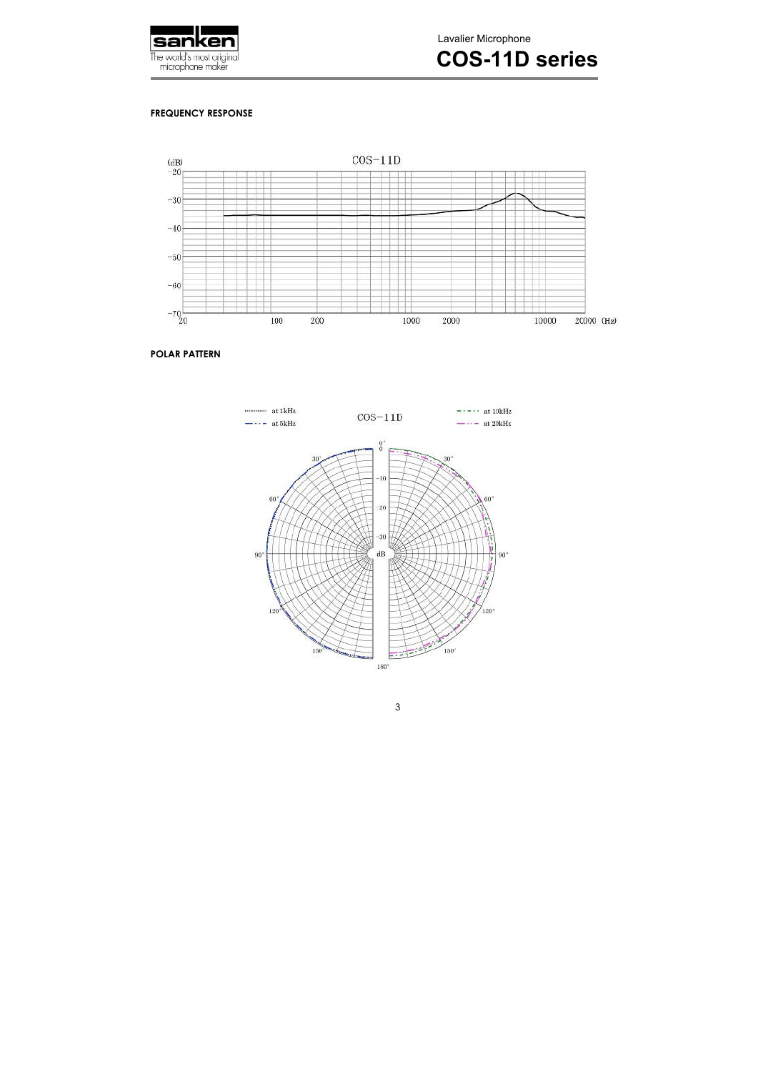

Lavalier Microphone

## **COS-11D series**

#### **FREQUENCY RESPONSE**



#### **POLAR PATTERN**



3